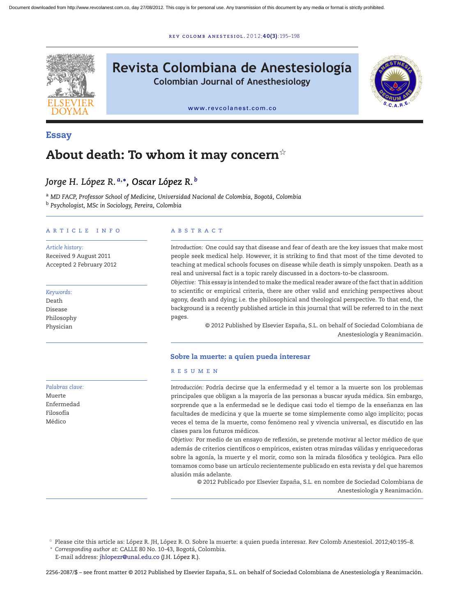r ev [colomb](dx.doi.org/10.1016/j.rcae.2012.06.002) ane s t e s iol . 2 0 1 2;**40(3)**:195–198



**Revista Colombiana de Anestesiología**

**Colombian Journal of Anesthesiology**



[www.revcolanest.com.co](http://www.revcolanest.com.co)

## **Essay**

# **About death: To whom it may concern**-

# *Jorge H. López R. <sup>a</sup>***,∗***, Oscar López R. <sup>b</sup>*

<sup>a</sup> *MD FACP, Professor School of Medicine, Universidad Nacional de Colombia, Bogotá, Colombia* <sup>b</sup> *Psychologist, MSc in Sociology, Pereira, Colombia*

#### a r t i c l e i n f o

*Article history:* Received 9 August 2011 Accepted 2 February 2012

#### *Keywords:*

Death Disease Philosophy Physician

*Palabras clave:* Muerte

Enfermedad Filosofía Médico

#### A B S T R A C T

*Introduction:* One could say that disease and fear of death are the key issues that make most people seek medical help. However, it is striking to find that most of the time devoted to teaching at medical schools focuses on disease while death is simply unspoken. Death as a real and universal fact is a topic rarely discussed in a doctors-to-be classroom.

*Objective:* This essay is intended to make the medical reader aware of the fact that in addition to scientific or empirical criteria, there are other valid and enriching perspectives about agony, death and dying; i.e. the philosophical and theological perspective. To that end, the background is a recently published article in this journal that will be referred to in the next pages.

> © 2012 Published by Elsevier España, S.L. on behalf of Sociedad Colombiana de Anestesiología y Reanimación.

### **Sobre la muerte: a quien pueda interesar**

#### r e s u m e n

*Introducción:* Podría decirse que la enfermedad y el temor a la muerte son los problemas principales que obligan a la mayoría de las personas a buscar ayuda médica. Sin embargo, sorprende que a la enfermedad se le dedique casi todo el tiempo de la enseñanza en las facultades de medicina y que la muerte se tome simplemente como algo implícito; pocas veces el tema de la muerte, como fenómeno real y vivencia universal, es discutido en las clases para los futuros médicos.

*Objetivo:* Por medio de un ensayo de reflexión, se pretende motivar al lector médico de que además de criterios científicos o empíricos, existen otras miradas válidas y enriquecedoras sobre la agonía, la muerte y el morir, como son la mirada filosófica y teológica. Para ello tomamos como base un artículo recientemente publicado en esta revista y del que haremos alusión más adelante.

© 2012 Publicado por Elsevier España, S.L. en nombre de Sociedad Colombiana de Anestesiología y Reanimación.

 $^\star$  Please cite this article as: López R. JH, López R. O. Sobre la muerte: a quien pueda interesar. Rev Colomb Anestesiol. 2012;40:195–8. <sup>∗</sup> *Corresponding author at*: CALLE 80 No. 10-43, Bogotá, Colombia.

E-mail address: [jhlopezr@unal.edu.co](mailto:jhlopezr@unal.edu.co) (J.H. López R.).

2256-2087/\$ – see front matter © 2012 Published by Elsevier España, S.L. on behalf of Sociedad Colombiana de Anestesiología y Reanimación.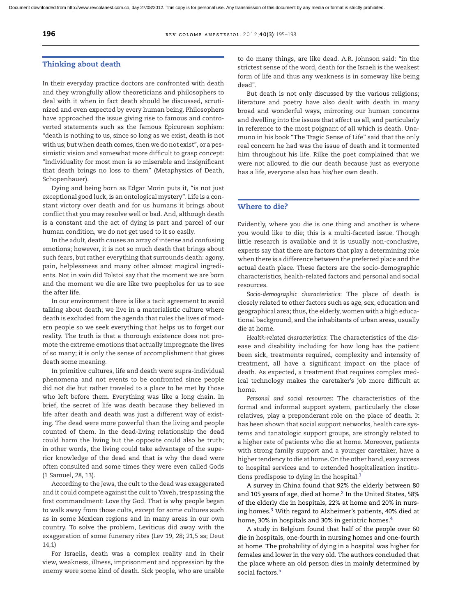#### **Thinking about death**

In their everyday practice doctors are confronted with death and they wrongfully allow theoreticians and philosophers to deal with it when in fact death should be discussed, scrutinized and even expected by every human being. Philosophers have approached the issue giving rise to famous and controverted statements such as the famous Epicurean sophism: "death is nothing to us, since so long as we exist, death is not with us; but when death comes, then we do not exist", or a pessimistic vision and somewhat more difficult to grasp concept: "Individuality for most men is so miserable and insignificant that death brings no loss to them" (Metaphysics of Death, Schopenhauer).

Dying and being born as Edgar Morin puts it, "is not just exceptional good luck, is an ontological mystery". Life is a constant victory over death and for us humans it brings about conflict that you may resolve well or bad. And, although death is a constant and the act of dying is part and parcel of our human condition, we do not get used to it so easily.

In the adult, death causes an array of intense and confusing emotions; however, it is not so much death that brings about such fears, but rather everything that surrounds death: agony, pain, helplessness and many other almost magical ingredients. Not in vain did Tolstoi say that the moment we are born and the moment we die are like two peepholes for us to see the after life.

In our environment there is like a tacit agreement to avoid talking about death; we live in a materialistic culture where death is excluded from the agenda that rules the lives of modern people so we seek everything that helps us to forget our reality. The truth is that a thorough existence does not promote the extreme emotions that actually impregnate the lives of so many; it is only the sense of accomplishment that gives death some meaning.

In primitive cultures, life and death were supra-individual phenomena and not events to be confronted since people did not die but rather traveled to a place to be met by those who left before them. Everything was like a long chain. In brief, the secret of life was death because they believed in life after death and death was just a different way of existing. The dead were more powerful than the living and people counted of them. In the dead-living relationship the dead could harm the living but the opposite could also be truth; in other words, the living could take advantage of the superior knowledge of the dead and that is why the dead were often consulted and some times they were even called Gods (1 Samuel, 28, 13).

According to the Jews, the cult to the dead was exaggerated and it could compete against the cult to Yaveh, trespassing the first commandment: Love thy God. That is why people began to walk away from those cults, except for some cultures such as in some Mexican regions and in many areas in our own country. To solve the problem, Leviticus did away with the exaggeration of some funerary rites (Lev 19, 28; 21,5 ss; Deut 14,1)

For Israelis, death was a complex reality and in their view, weakness, illness, imprisonment and oppression by the enemy were some kind of death. Sick people, who are unable to do many things, are like dead. A.R. Johnson said: "in the strictest sense of the word, death for the Israeli is the weakest form of life and thus any weakness is in someway like being dead".

But death is not only discussed by the various religions; literature and poetry have also dealt with death in many broad and wonderful ways, mirroring our human concerns and dwelling into the issues that affect us all, and particularly in reference to the most poignant of all which is death. Unamuno in his book "The Tragic Sense of Life" said that the only real concern he had was the issue of death and it tormented him throughout his life. Rilke the poet complained that we were not allowed to die our death because just as everyone has a life, everyone also has his/her own death.

#### **Where to die?**

Evidently, where you die is one thing and another is where you would like to die; this is a multi-faceted issue. Though little research is available and it is usually non-conclusive, experts say that there are factors that play a determining role when there is a difference between the preferred place and the actual death place. These factors are the socio-demographic characteristics, health-related factors and personal and social resources.

*Socio-demographic characteristics*: The place of death is closely related to other factors such as age, sex, education and geographical area; thus, the elderly, women with a high educational background, and the inhabitants of urban areas, usually die at home.

*Health-related characteristics*: The characteristics of the disease and disability including for how long has the patient been sick, treatments required, complexity and intensity of treatment, all have a significant impact on the place of death. As expected, a treatment that requires complex medical technology makes the caretaker's job more difficult at home.

*Personal and social resources*: The characteristics of the formal and informal support system, particularly the close relatives, play a preponderant role on the place of death. It has been shown that social support networks, health care systems and tanatologic support groups, are strongly related to a higher rate of patients who die at home. Moreover, patients with strong family support and a younger caretaker, have a higher tendency to die at home. On the other hand, easy access to hospital services and to extended hospitalization institu-tions predispose to dying in the hospital.<sup>[1](#page-2-0)</sup>

A survey in China found that 92% the elderly between 80 and 105 years of age, died at home.<sup>2</sup> In the United States, 58% of the elderly die in hospitals, 22% at home and 20% in nursing homes.[3](#page-2-0) With regard to Alzheimer's patients, 40% died at home, 30% in hospitals and 30% in geriatric homes.<sup>4</sup>

A study in Belgium found that half of the people over 60 die in hospitals, one-fourth in nursing homes and one-fourth at home. The probability of dying in a hospital was higher for females and lower in the very old. The authors concluded that the place where an old person dies in mainly determined by social factors.<sup>5</sup>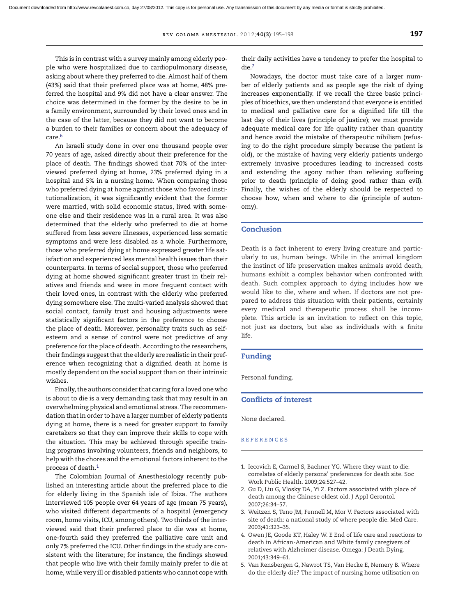<span id="page-2-0"></span>This is in contrast with a survey mainly among elderly people who were hospitalized due to cardiopulmonary disease, asking about where they preferred to die. Almost half of them (43%) said that their preferred place was at home, 48% preferred the hospital and 9% did not have a clear answer. The choice was determined in the former by the desire to be in a family environment, surrounded by their loved ones and in the case of the latter, because they did not want to become a burden to their families or concern about the adequacy of care[.6](#page-3-0)

An Israeli study done in over one thousand people over 70 years of age, asked directly about their preference for the place of death. The findings showed that 70% of the interviewed preferred dying at home, 23% preferred dying in a hospital and 5% in a nursing home. When comparing those who preferred dying at home against those who favored institutionalization, it was significantly evident that the former were married, with solid economic status, lived with someone else and their residence was in a rural area. It was also determined that the elderly who preferred to die at home suffered from less severe illnesses, experienced less somatic symptoms and were less disabled as a whole. Furthermore, those who preferred dying at home expressed greater life satisfaction and experienced less mental health issues than their counterparts. In terms of social support, those who preferred dying at home showed significant greater trust in their relatives and friends and were in more frequent contact with their loved ones, in contrast with the elderly who preferred dying somewhere else. The multi-varied analysis showed that social contact, family trust and housing adjustments were statistically significant factors in the preference to choose the place of death. Moreover, personality traits such as selfesteem and a sense of control were not predictive of any preference for the place of death. According to the researchers, their findings suggest that the elderly are realistic in their preference when recognizing that a dignified death at home is mostly dependent on the social support than on their intrinsic wishes.

Finally, the authors consider that caring for a loved one who is about to die is a very demanding task that may result in an overwhelming physical and emotional stress. The recommendation that in order to have a larger number of elderly patients dying at home, there is a need for greater support to family caretakers so that they can improve their skills to cope with the situation. This may be achieved through specific training programs involving volunteers, friends and neighbors, to help with the chores and the emotional factors inherent to the process of death.1

The Colombian Journal of Anesthesiology recently published an interesting article about the preferred place to die for elderly living in the Spanish isle of Ibiza. The authors interviewed 105 people over 64 years of age (mean 75 years), who visited different departments of a hospital (emergency room, home visits, ICU, among others). Two thirds of the interviewed said that their preferred place to die was at home, one-fourth said they preferred the palliative care unit and only 7% preferred the ICU. Other findings in the study are consistent with the literature; for instance, the findings showed that people who live with their family mainly prefer to die at home, while very ill or disabled patients who cannot cope with their daily activities have a tendency to prefer the hospital to die[.7](#page-3-0)

Nowadays, the doctor must take care of a larger number of elderly patients and as people age the risk of dying increases exponentially. If we recall the three basic principles of bioethics, we then understand that everyone is entitled to medical and palliative care for a dignified life till the last day of their lives (principle of justice); we must provide adequate medical care for life quality rather than quantity and hence avoid the mistake of therapeutic nihilism (refusing to do the right procedure simply because the patient is old), or the mistake of having very elderly patients undergo extremely invasive procedures leading to increased costs and extending the agony rather than relieving suffering prior to death (principle of doing good rather than evil). Finally, the wishes of the elderly should be respected to choose how, when and where to die (principle of autonomy).

#### **Conclusion**

Death is a fact inherent to every living creature and particularly to us, human beings. While in the animal kingdom the instinct of life preservation makes animals avoid death, humans exhibit a complex behavior when confronted with death. Such complex approach to dying includes how we would like to die, where and when. If doctors are not prepared to address this situation with their patients, certainly every medical and therapeutic process shall be incomplete. This article is an invitation to reflect on this topic, not just as doctors, but also as individuals with a finite life.

#### **Funding**

Personal funding.

#### **Conflicts of interest**

None declared.

#### **REFERENCES**

- 1. Iecovich E, Carmel S, Bachner YG. Where they want to die: correlates of elderly persons' preferences for death site. Soc Work Public Health. 2009;24:527–42.
- 2. Gu D, Liu G, Vlosky DA, Yi Z. Factors associated with place of death among the Chinese oldest old. J Appl Gerontol. 2007;26:34–57.
- 3. Weitzen S, Teno JM, Fennell M, Mor V. Factors associated with site of death: a national study of where people die. Med Care. 2003;41:323–35.
- 4. Owen JE, Goode KT, Haley W. E End of life care and reactions to death in African-American and White family caregivers of relatives with Alzheimer disease. Omega: J Death Dying. 2001;43:349–61.
- 5. Van Rensbergen G, Nawrot TS, Van Hecke E, Nemery B. Where do the elderly die? The impact of nursing home utilisation on